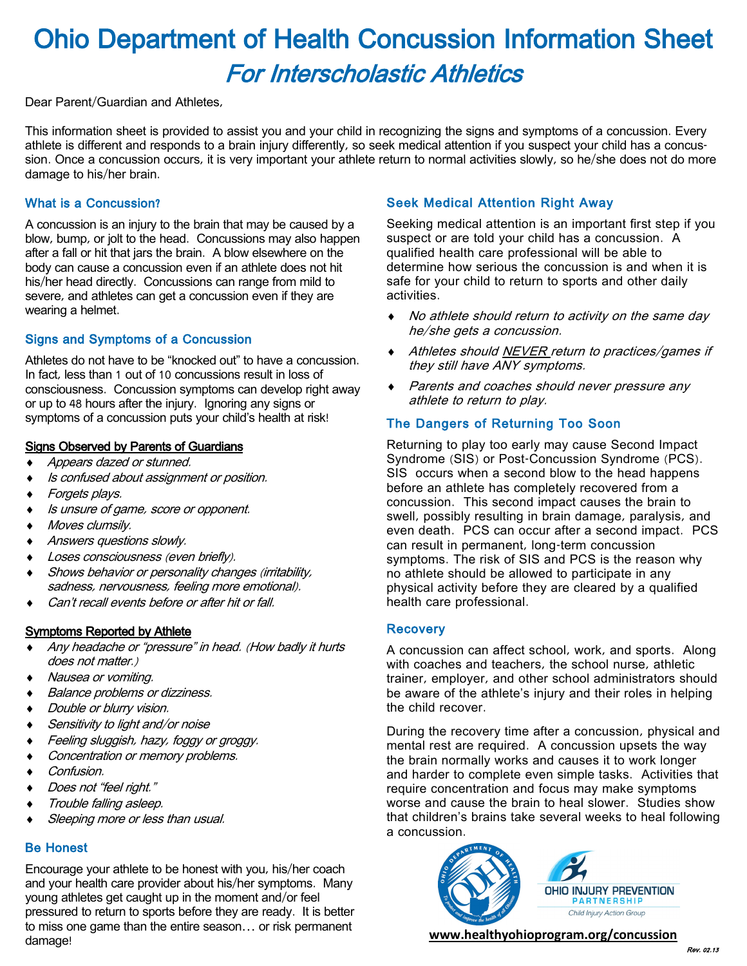# Ohio Department of Health Concussion Information Sheet For Interscholastic Athletics

Dear Parent/Guardian and Athletes,

This information sheet is provided to assist you and your child in recognizing the signs and symptoms of a concussion. Every athlete is different and responds to a brain injury differently, so seek medical attention if you suspect your child has a concussion. Once a concussion occurs, it is very important your athlete return to normal activities slowly, so he/she does not do more damage to his/her brain.

### What is a Concussion?

A concussion is an injury to the brain that may be caused by a blow, bump, or jolt to the head. Concussions may also happen after a fall or hit that jars the brain. A blow elsewhere on the body can cause a concussion even if an athlete does not hit his/her head directly. Concussions can range from mild to severe, and athletes can get a concussion even if they are wearing a helmet.

## Signs and Symptoms of a Concussion

Athletes do not have to be "knocked out" to have a concussion. In fact, less than 1 out of 10 concussions result in loss of consciousness. Concussion symptoms can develop right away or up to 48 hours after the injury. Ignoring any signs or symptoms of a concussion puts your child's health at risk!

#### Signs Observed by Parents of Guardians

- Appears dazed or stunned.
- Is confused about assignment or position.
- Forgets plays.
- Is unsure of game, score or opponent.
- Moves clumsily.
- Answers questions slowly.
- Loses consciousness (even briefly).
- Shows behavior or personality changes (irritability, sadness, nervousness, feeling more emotional).
- Can't recall events before or after hit or fall.

#### Symptoms Reported by Athlete

- Any headache or "pressure" in head. (How badly it hurts does not matter.)
- Nausea or vomiting.
- Balance problems or dizziness.
- Double or blurry vision.
- Sensitivity to light and/or noise
- Feeling sluggish, hazy, foggy or groggy.
- Concentration or memory problems.
- Confusion.
- Does not "feel right."
- Trouble falling asleep.
- Sleeping more or less than usual.

## Be Honest

Encourage your athlete to be honest with you, his/her coach and your health care provider about his/her symptoms. Many young athletes get caught up in the moment and/or feel pressured to return to sports before they are ready. It is better to miss one game than the entire season… or risk permanent damage!

## Seek Medical Attention Right Away

Seeking medical attention is an important first step if you suspect or are told your child has a concussion. A qualified health care professional will be able to determine how serious the concussion is and when it is safe for your child to return to sports and other daily activities.

- No athlete should return to activity on the same day he/she gets a concussion.
- Athletes should <u>NEVER r</u>eturn to practices/games if they still have ANY symptoms.
- ◆ Parents and coaches should never pressure any athlete to return to play.

## The Dangers of Returning Too Soon

Returning to play too early may cause Second Impact Syndrome (SIS) or Post-Concussion Syndrome (PCS). SIS occurs when a second blow to the head happens before an athlete has completely recovered from a concussion. This second impact causes the brain to swell, possibly resulting in brain damage, paralysis, and even death. PCS can occur after a second impact. PCS can result in permanent, long-term concussion symptoms. The risk of SIS and PCS is the reason why no athlete should be allowed to participate in any physical activity before they are cleared by a qualified health care professional.

#### **Recovery**

A concussion can affect school, work, and sports. Along with coaches and teachers, the school nurse, athletic trainer, employer, and other school administrators should be aware of the athlete's injury and their roles in helping the child recover.

During the recovery time after a concussion, physical and mental rest are required. A concussion upsets the way the brain normally works and causes it to work longer and harder to complete even simple tasks. Activities that require concentration and focus may make symptoms worse and cause the brain to heal slower. Studies show that children's brains take several weeks to heal following a concussion.



**www.healthyohioprogram.org/concussion**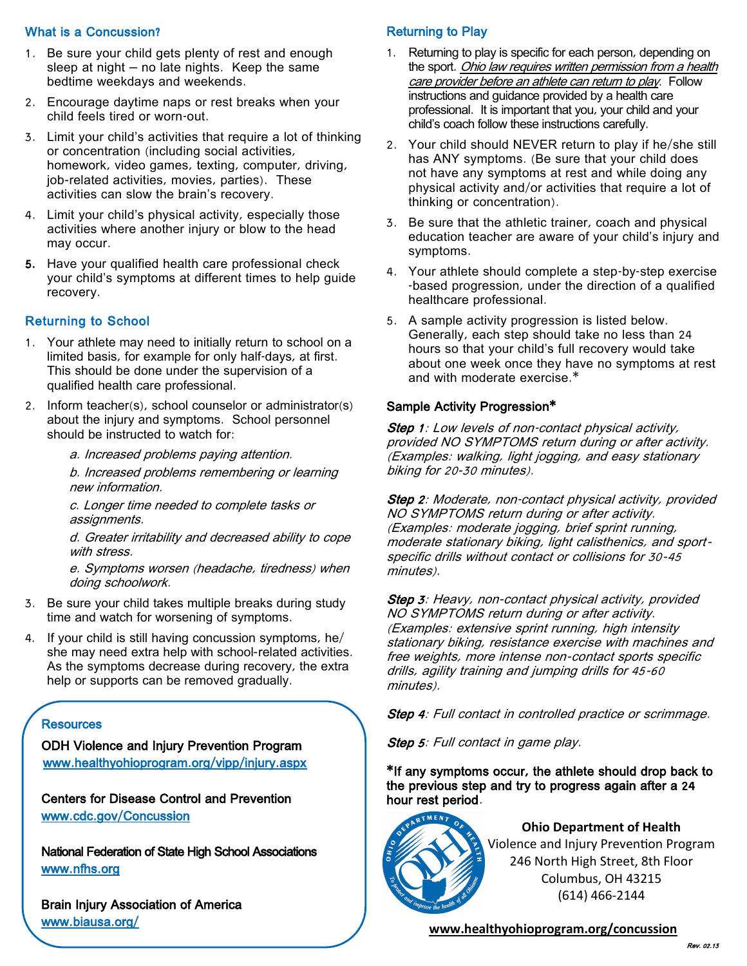### What is a Concussion?

- 1. Be sure your child gets plenty of rest and enough sleep at night – no late nights. Keep the same bedtime weekdays and weekends.
- 2. Encourage daytime naps or rest breaks when your child feels tired or worn-out.
- 3. Limit your child's activities that require a lot of thinking or concentration (including social activities, homework, video games, texting, computer, driving, job-related activities, movies, parties). These activities can slow the brain's recovery.
- 4. Limit your child's physical activity, especially those activities where another injury or blow to the head may occur.
- 5. Have your qualified health care professional check your child's symptoms at different times to help guide recovery.

## Returning to School

- 1. Your athlete may need to initially return to school on a limited basis, for example for only half-days, at first. This should be done under the supervision of a qualified health care professional.
- 2. Inform teacher(s), school counselor or administrator(s) about the injury and symptoms. School personnel should be instructed to watch for:
	- a. Increased problems paying attention.

b. Increased problems remembering or learning new information.

c. Longer time needed to complete tasks or assignments.

d. Greater irritability and decreased ability to cope with stress.

e. Symptoms worsen (headache, tiredness) when doing schoolwork.

- 3. Be sure your child takes multiple breaks during study time and watch for worsening of symptoms.
- 4. If your child is still having concussion symptoms, he/ she may need extra help with school‐related activities. As the symptoms decrease during recovery, the extra help or supports can be removed gradually.

#### **Resources**

ODH Violence and Injury Prevention Program  [www.healthyohioprogram.org/vipp/injury.aspx](http://www.healthyohioprogram.org/vipp/injury.aspx) 

Centers for Disease Control and Prevention [www.cdc.gov/Concussion](http://www.cdc.gov/Concussion) 

National Federation of State High School Associations [www.nfhs.org](http://www.nfhs.org) 

Brain Injury Association of America [www.biausa.org/](http://www.biausa.org/) 

### Returning to Play

- 1. Returning to play is specific for each person, depending on the sport. Ohio law requires written permission from a health care provider before an athlete can return to play. Follow instructions and guidance provided by a health care professional. It is important that you, your child and your child's coach follow these instructions carefully.
- 2. Your child should NEVER return to play if he/she still has ANY symptoms. (Be sure that your child does not have any symptoms at rest and while doing any physical activity and/or activities that require a lot of thinking or concentration).
- 3. Be sure that the athletic trainer, coach and physical education teacher are aware of your child's injury and symptoms.
- 4. Your athlete should complete a step-by-step exercise -based progression, under the direction of a qualified healthcare professional.
- 5. A sample activity progression is listed below. Generally, each step should take no less than 24 hours so that your child's full recovery would take about one week once they have no symptoms at rest and with moderate exercise.\*

#### Sample Activity Progression\*

**Step 1**: Low levels of non-contact physical activity, provided NO SYMPTOMS return during or after activity. (Examples: walking, light jogging, and easy stationary biking for 20‐30 minutes).

Step 2: Moderate, non-contact physical activity, provided NO SYMPTOMS return during or after activity. (Examples: moderate jogging, brief sprint running, moderate stationary biking, light calisthenics, and sport‐ specific drills without contact or collisions for 30‐<sup>45</sup> minutes).

Step 3: Heavy, non-contact physical activity, provided NO SYMPTOMS return during or after activity. (Examples: extensive sprint running, high intensity stationary biking, resistance exercise with machines and free weights, more intense non‐contact sports specific drills, agility training and jumping drills for 45‐<sup>60</sup> minutes).

**Step 4:** Full contact in controlled practice or scrimmage.

Step 5: Full contact in game play.

\*If any symptoms occur, the athlete should drop back to the previous step and try to progress again after a 24 hour rest period.



**Ohio Department of Health** Violence and Injury Prevention Program 246 North High Street, 8th Floor Columbus, OH 43215 (614) 466-2144

**www.healthyohioprogram.org/concussion**